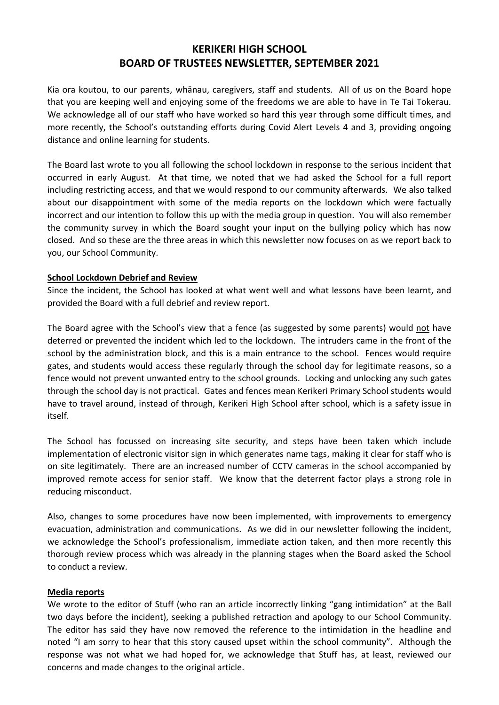# **KERIKERI HIGH SCHOOL BOARD OF TRUSTEES NEWSLETTER, SEPTEMBER 2021**

Kia ora koutou, to our parents, whānau, caregivers, staff and students. All of us on the Board hope that you are keeping well and enjoying some of the freedoms we are able to have in Te Tai Tokerau. We acknowledge all of our staff who have worked so hard this year through some difficult times, and more recently, the School's outstanding efforts during Covid Alert Levels 4 and 3, providing ongoing distance and online learning for students.

The Board last wrote to you all following the school lockdown in response to the serious incident that occurred in early August. At that time, we noted that we had asked the School for a full report including restricting access, and that we would respond to our community afterwards. We also talked about our disappointment with some of the media reports on the lockdown which were factually incorrect and our intention to follow this up with the media group in question. You will also remember the community survey in which the Board sought your input on the bullying policy which has now closed. And so these are the three areas in which this newsletter now focuses on as we report back to you, our School Community.

## **School Lockdown Debrief and Review**

Since the incident, the School has looked at what went well and what lessons have been learnt, and provided the Board with a full debrief and review report.

The Board agree with the School's view that a fence (as suggested by some parents) would not have deterred or prevented the incident which led to the lockdown. The intruders came in the front of the school by the administration block, and this is a main entrance to the school. Fences would require gates, and students would access these regularly through the school day for legitimate reasons, so a fence would not prevent unwanted entry to the school grounds. Locking and unlocking any such gates through the school day is not practical. Gates and fences mean Kerikeri Primary School students would have to travel around, instead of through, Kerikeri High School after school, which is a safety issue in itself.

The School has focussed on increasing site security, and steps have been taken which include implementation of electronic visitor sign in which generates name tags, making it clear for staff who is on site legitimately. There are an increased number of CCTV cameras in the school accompanied by improved remote access for senior staff. We know that the deterrent factor plays a strong role in reducing misconduct.

Also, changes to some procedures have now been implemented, with improvements to emergency evacuation, administration and communications. As we did in our newsletter following the incident, we acknowledge the School's professionalism, immediate action taken, and then more recently this thorough review process which was already in the planning stages when the Board asked the School to conduct a review.

## **Media reports**

We wrote to the editor of Stuff (who ran an article incorrectly linking "gang intimidation" at the Ball two days before the incident), seeking a published retraction and apology to our School Community. The editor has said they have now removed the reference to the intimidation in the headline and noted "I am sorry to hear that this story caused upset within the school community". Although the response was not what we had hoped for, we acknowledge that Stuff has, at least, reviewed our concerns and made changes to the original article.